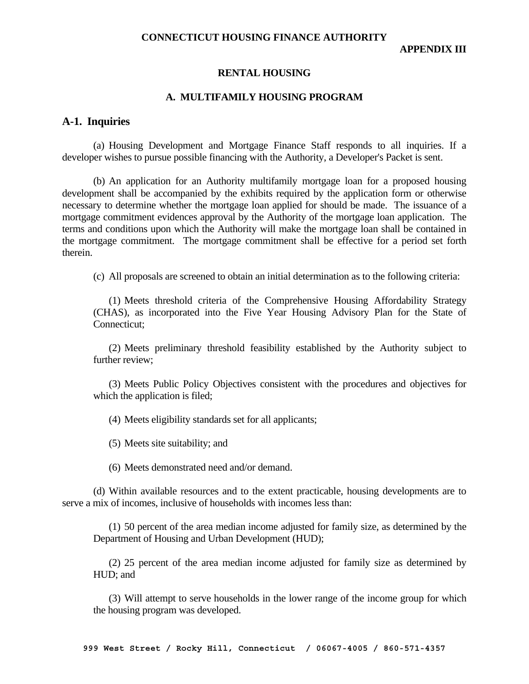**APPENDIX III** 

#### **RENTAL HOUSING**

#### **A. MULTIFAMILY HOUSING PROGRAM**

#### **A-1. Inquiries**

 (a) Housing Development and Mortgage Finance Staff responds to all inquiries. If a developer wishes to pursue possible financing with the Authority, a Developer's Packet is sent.

 (b) An application for an Authority multifamily mortgage loan for a proposed housing development shall be accompanied by the exhibits required by the application form or otherwise necessary to determine whether the mortgage loan applied for should be made. The issuance of a mortgage commitment evidences approval by the Authority of the mortgage loan application. The terms and conditions upon which the Authority will make the mortgage loan shall be contained in the mortgage commitment. The mortgage commitment shall be effective for a period set forth therein.

(c) All proposals are screened to obtain an initial determination as to the following criteria:

 (1) Meets threshold criteria of the Comprehensive Housing Affordability Strategy (CHAS), as incorporated into the Five Year Housing Advisory Plan for the State of Connecticut;

 (2) Meets preliminary threshold feasibility established by the Authority subject to further review;

 (3) Meets Public Policy Objectives consistent with the procedures and objectives for which the application is filed;

(4) Meets eligibility standards set for all applicants;

(5) Meets site suitability; and

(6) Meets demonstrated need and/or demand.

 (d) Within available resources and to the extent practicable, housing developments are to serve a mix of incomes, inclusive of households with incomes less than:

 (1) 50 percent of the area median income adjusted for family size, as determined by the Department of Housing and Urban Development (HUD);

 (2) 25 percent of the area median income adjusted for family size as determined by HUD; and

 (3) Will attempt to serve households in the lower range of the income group for which the housing program was developed.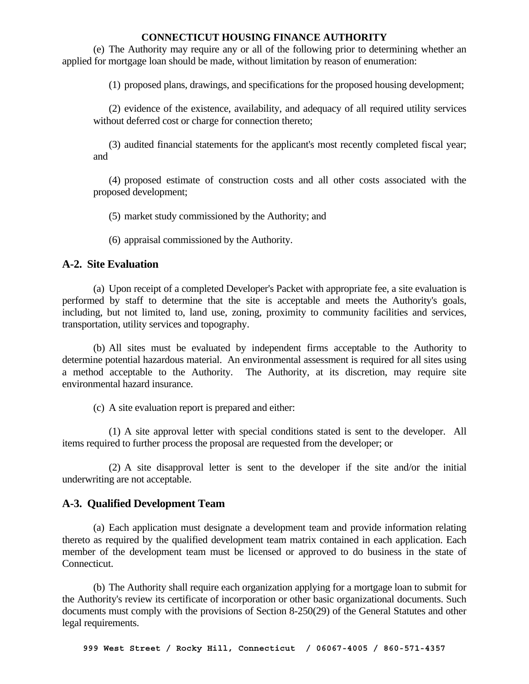(e) The Authority may require any or all of the following prior to determining whether an applied for mortgage loan should be made, without limitation by reason of enumeration:

(1) proposed plans, drawings, and specifications for the proposed housing development;

 (2) evidence of the existence, availability, and adequacy of all required utility services without deferred cost or charge for connection thereto;

 (3) audited financial statements for the applicant's most recently completed fiscal year; and

 (4) proposed estimate of construction costs and all other costs associated with the proposed development;

(5) market study commissioned by the Authority; and

(6) appraisal commissioned by the Authority.

# **A-2. Site Evaluation**

 (a) Upon receipt of a completed Developer's Packet with appropriate fee, a site evaluation is performed by staff to determine that the site is acceptable and meets the Authority's goals, including, but not limited to, land use, zoning, proximity to community facilities and services, transportation, utility services and topography.

 (b) All sites must be evaluated by independent firms acceptable to the Authority to determine potential hazardous material. An environmental assessment is required for all sites using a method acceptable to the Authority. The Authority, at its discretion, may require site environmental hazard insurance.

(c) A site evaluation report is prepared and either:

 (1) A site approval letter with special conditions stated is sent to the developer. All items required to further process the proposal are requested from the developer; or

 (2) A site disapproval letter is sent to the developer if the site and/or the initial underwriting are not acceptable.

# **A-3. Qualified Development Team**

 (a) Each application must designate a development team and provide information relating thereto as required by the qualified development team matrix contained in each application. Each member of the development team must be licensed or approved to do business in the state of Connecticut.

 (b) The Authority shall require each organization applying for a mortgage loan to submit for the Authority's review its certificate of incorporation or other basic organizational documents. Such documents must comply with the provisions of Section 8-250(29) of the General Statutes and other legal requirements.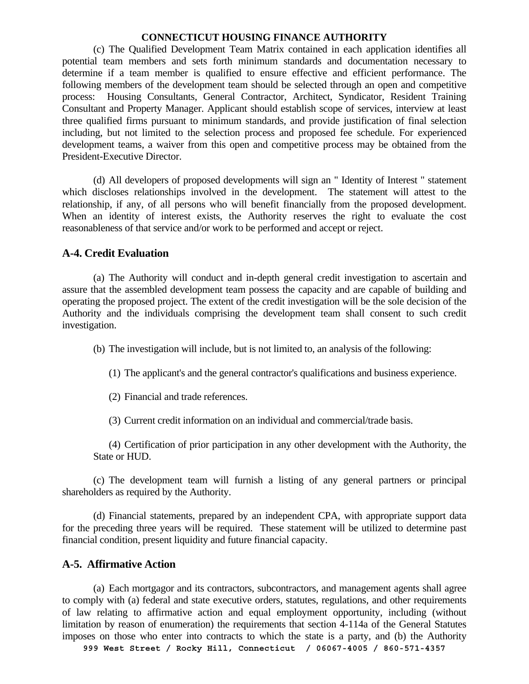(c) The Qualified Development Team Matrix contained in each application identifies all potential team members and sets forth minimum standards and documentation necessary to determine if a team member is qualified to ensure effective and efficient performance. The following members of the development team should be selected through an open and competitive process: Housing Consultants, General Contractor, Architect, Syndicator, Resident Training Consultant and Property Manager. Applicant should establish scope of services, interview at least three qualified firms pursuant to minimum standards, and provide justification of final selection including, but not limited to the selection process and proposed fee schedule. For experienced development teams, a waiver from this open and competitive process may be obtained from the President-Executive Director.

 (d) All developers of proposed developments will sign an " Identity of Interest " statement which discloses relationships involved in the development. The statement will attest to the relationship, if any, of all persons who will benefit financially from the proposed development. When an identity of interest exists, the Authority reserves the right to evaluate the cost reasonableness of that service and/or work to be performed and accept or reject.

#### **A-4. Credit Evaluation**

 (a) The Authority will conduct and in-depth general credit investigation to ascertain and assure that the assembled development team possess the capacity and are capable of building and operating the proposed project. The extent of the credit investigation will be the sole decision of the Authority and the individuals comprising the development team shall consent to such credit investigation.

(b) The investigation will include, but is not limited to, an analysis of the following:

(1) The applicant's and the general contractor's qualifications and business experience.

(2) Financial and trade references.

(3) Current credit information on an individual and commercial/trade basis.

 (4) Certification of prior participation in any other development with the Authority, the State or HUD.

 (c) The development team will furnish a listing of any general partners or principal shareholders as required by the Authority.

 (d) Financial statements, prepared by an independent CPA, with appropriate support data for the preceding three years will be required. These statement will be utilized to determine past financial condition, present liquidity and future financial capacity.

#### **A-5. Affirmative Action**

 (a) Each mortgagor and its contractors, subcontractors, and management agents shall agree to comply with (a) federal and state executive orders, statutes, regulations, and other requirements of law relating to affirmative action and equal employment opportunity, including (without limitation by reason of enumeration) the requirements that section 4-114a of the General Statutes imposes on those who enter into contracts to which the state is a party, and (b) the Authority

**999 West Street / Rocky Hill, Connecticut / 06067-4005 / 860-571-4357**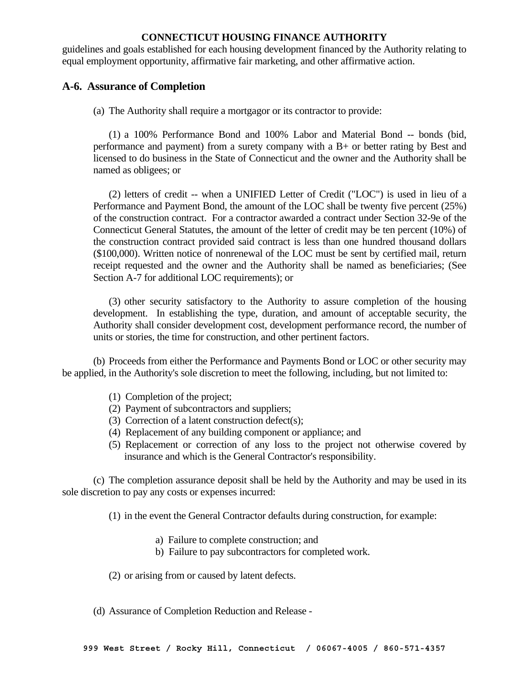guidelines and goals established for each housing development financed by the Authority relating to equal employment opportunity, affirmative fair marketing, and other affirmative action.

# **A-6. Assurance of Completion**

(a) The Authority shall require a mortgagor or its contractor to provide:

 (1) a 100% Performance Bond and 100% Labor and Material Bond -- bonds (bid, performance and payment) from a surety company with a B+ or better rating by Best and licensed to do business in the State of Connecticut and the owner and the Authority shall be named as obligees; or

 (2) letters of credit -- when a UNIFIED Letter of Credit ("LOC") is used in lieu of a Performance and Payment Bond, the amount of the LOC shall be twenty five percent (25%) of the construction contract. For a contractor awarded a contract under Section 32-9e of the Connecticut General Statutes, the amount of the letter of credit may be ten percent (10%) of the construction contract provided said contract is less than one hundred thousand dollars (\$100,000). Written notice of nonrenewal of the LOC must be sent by certified mail, return receipt requested and the owner and the Authority shall be named as beneficiaries; (See Section A-7 for additional LOC requirements); or

 (3) other security satisfactory to the Authority to assure completion of the housing development. In establishing the type, duration, and amount of acceptable security, the Authority shall consider development cost, development performance record, the number of units or stories, the time for construction, and other pertinent factors.

 (b) Proceeds from either the Performance and Payments Bond or LOC or other security may be applied, in the Authority's sole discretion to meet the following, including, but not limited to:

- (1) Completion of the project;
- (2) Payment of subcontractors and suppliers;
- (3) Correction of a latent construction defect(s);
- (4) Replacement of any building component or appliance; and
- (5) Replacement or correction of any loss to the project not otherwise covered by insurance and which is the General Contractor's responsibility.

 (c) The completion assurance deposit shall be held by the Authority and may be used in its sole discretion to pay any costs or expenses incurred:

(1) in the event the General Contractor defaults during construction, for example:

- a) Failure to complete construction; and
- b) Failure to pay subcontractors for completed work.

(2) or arising from or caused by latent defects.

(d) Assurance of Completion Reduction and Release -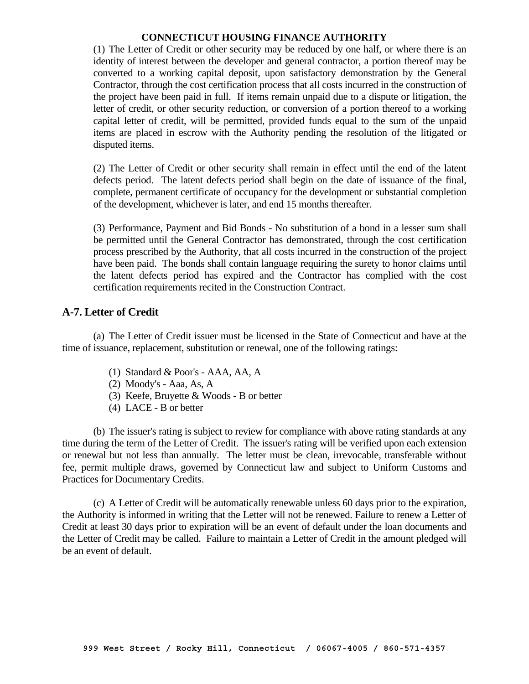(1) The Letter of Credit or other security may be reduced by one half, or where there is an identity of interest between the developer and general contractor, a portion thereof may be converted to a working capital deposit, upon satisfactory demonstration by the General Contractor, through the cost certification process that all costs incurred in the construction of the project have been paid in full. If items remain unpaid due to a dispute or litigation, the letter of credit, or other security reduction, or conversion of a portion thereof to a working capital letter of credit, will be permitted, provided funds equal to the sum of the unpaid items are placed in escrow with the Authority pending the resolution of the litigated or disputed items.

 (2) The Letter of Credit or other security shall remain in effect until the end of the latent defects period. The latent defects period shall begin on the date of issuance of the final, complete, permanent certificate of occupancy for the development or substantial completion of the development, whichever is later, and end 15 months thereafter.

 (3) Performance, Payment and Bid Bonds - No substitution of a bond in a lesser sum shall be permitted until the General Contractor has demonstrated, through the cost certification process prescribed by the Authority, that all costs incurred in the construction of the project have been paid. The bonds shall contain language requiring the surety to honor claims until the latent defects period has expired and the Contractor has complied with the cost certification requirements recited in the Construction Contract.

#### **A-7. Letter of Credit**

 (a) The Letter of Credit issuer must be licensed in the State of Connecticut and have at the time of issuance, replacement, substitution or renewal, one of the following ratings:

- (1) Standard & Poor's AAA, AA, A
- (2) Moody's Aaa, As, A
- (3) Keefe, Bruyette & Woods B or better
- (4) LACE B or better

 (b) The issuer's rating is subject to review for compliance with above rating standards at any time during the term of the Letter of Credit. The issuer's rating will be verified upon each extension or renewal but not less than annually. The letter must be clean, irrevocable, transferable without fee, permit multiple draws, governed by Connecticut law and subject to Uniform Customs and Practices for Documentary Credits.

 (c) A Letter of Credit will be automatically renewable unless 60 days prior to the expiration, the Authority is informed in writing that the Letter will not be renewed. Failure to renew a Letter of Credit at least 30 days prior to expiration will be an event of default under the loan documents and the Letter of Credit may be called. Failure to maintain a Letter of Credit in the amount pledged will be an event of default.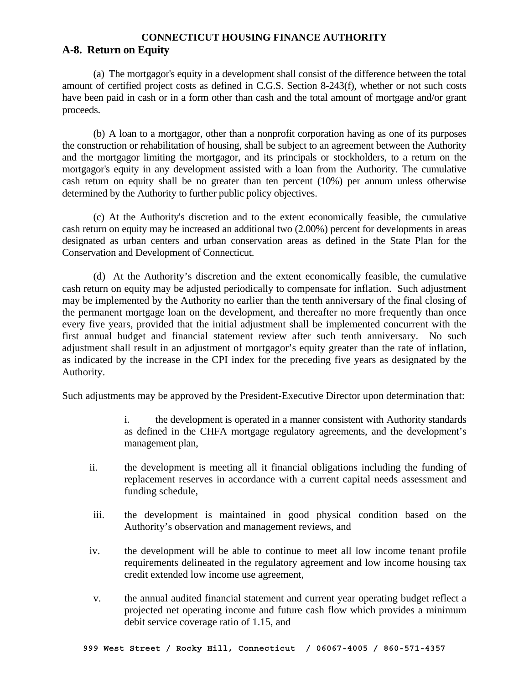# **A-8. Return on Equity**

 (a) The mortgagor's equity in a development shall consist of the difference between the total amount of certified project costs as defined in C.G.S. Section 8-243(f), whether or not such costs have been paid in cash or in a form other than cash and the total amount of mortgage and/or grant proceeds.

 (b) A loan to a mortgagor, other than a nonprofit corporation having as one of its purposes the construction or rehabilitation of housing, shall be subject to an agreement between the Authority and the mortgagor limiting the mortgagor, and its principals or stockholders, to a return on the mortgagor's equity in any development assisted with a loan from the Authority. The cumulative cash return on equity shall be no greater than ten percent (10%) per annum unless otherwise determined by the Authority to further public policy objectives.

 (c) At the Authority's discretion and to the extent economically feasible, the cumulative cash return on equity may be increased an additional two (2.00%) percent for developments in areas designated as urban centers and urban conservation areas as defined in the State Plan for the Conservation and Development of Connecticut.

 (d) At the Authority's discretion and the extent economically feasible, the cumulative cash return on equity may be adjusted periodically to compensate for inflation. Such adjustment may be implemented by the Authority no earlier than the tenth anniversary of the final closing of the permanent mortgage loan on the development, and thereafter no more frequently than once every five years, provided that the initial adjustment shall be implemented concurrent with the first annual budget and financial statement review after such tenth anniversary. No such adjustment shall result in an adjustment of mortgagor's equity greater than the rate of inflation, as indicated by the increase in the CPI index for the preceding five years as designated by the Authority.

Such adjustments may be approved by the President-Executive Director upon determination that:

i. the development is operated in a manner consistent with Authority standards as defined in the CHFA mortgage regulatory agreements, and the development's management plan,

- ii. the development is meeting all it financial obligations including the funding of replacement reserves in accordance with a current capital needs assessment and funding schedule,
- iii. the development is maintained in good physical condition based on the Authority's observation and management reviews, and
- iv. the development will be able to continue to meet all low income tenant profile requirements delineated in the regulatory agreement and low income housing tax credit extended low income use agreement,
- v. the annual audited financial statement and current year operating budget reflect a projected net operating income and future cash flow which provides a minimum debit service coverage ratio of 1.15, and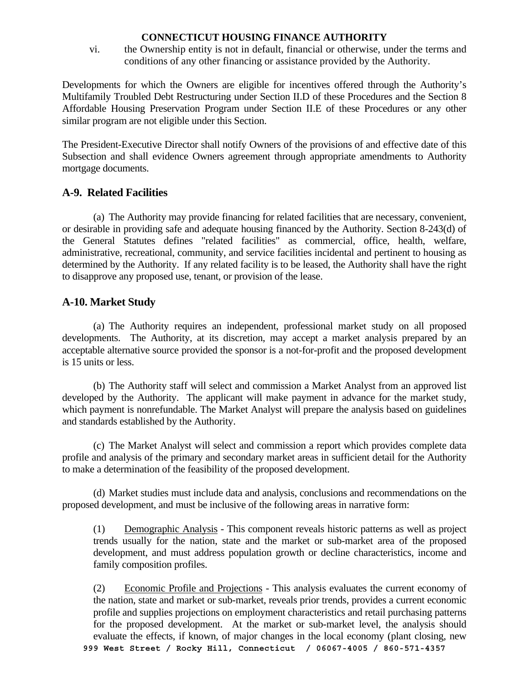vi. the Ownership entity is not in default, financial or otherwise, under the terms and conditions of any other financing or assistance provided by the Authority.

Developments for which the Owners are eligible for incentives offered through the Authority's Multifamily Troubled Debt Restructuring under Section II.D of these Procedures and the Section 8 Affordable Housing Preservation Program under Section II.E of these Procedures or any other similar program are not eligible under this Section.

The President-Executive Director shall notify Owners of the provisions of and effective date of this Subsection and shall evidence Owners agreement through appropriate amendments to Authority mortgage documents.

# **A-9. Related Facilities**

 (a) The Authority may provide financing for related facilities that are necessary, convenient, or desirable in providing safe and adequate housing financed by the Authority. Section 8-243(d) of the General Statutes defines "related facilities" as commercial, office, health, welfare, administrative, recreational, community, and service facilities incidental and pertinent to housing as determined by the Authority. If any related facility is to be leased, the Authority shall have the right to disapprove any proposed use, tenant, or provision of the lease.

# **A-10. Market Study**

 (a) The Authority requires an independent, professional market study on all proposed developments. The Authority, at its discretion, may accept a market analysis prepared by an acceptable alternative source provided the sponsor is a not-for-profit and the proposed development is 15 units or less.

 (b) The Authority staff will select and commission a Market Analyst from an approved list developed by the Authority. The applicant will make payment in advance for the market study, which payment is nonrefundable. The Market Analyst will prepare the analysis based on guidelines and standards established by the Authority.

 (c) The Market Analyst will select and commission a report which provides complete data profile and analysis of the primary and secondary market areas in sufficient detail for the Authority to make a determination of the feasibility of the proposed development.

 (d) Market studies must include data and analysis, conclusions and recommendations on the proposed development, and must be inclusive of the following areas in narrative form:

 (1) Demographic Analysis - This component reveals historic patterns as well as project trends usually for the nation, state and the market or sub-market area of the proposed development, and must address population growth or decline characteristics, income and family composition profiles.

**999 West Street / Rocky Hill, Connecticut / 06067-4005 / 860-571-4357**  (2) Economic Profile and Projections - This analysis evaluates the current economy of the nation, state and market or sub-market, reveals prior trends, provides a current economic profile and supplies projections on employment characteristics and retail purchasing patterns for the proposed development. At the market or sub-market level, the analysis should evaluate the effects, if known, of major changes in the local economy (plant closing, new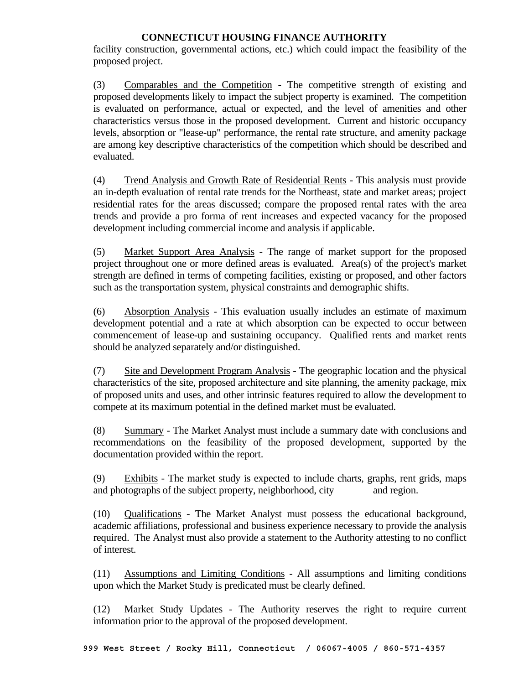facility construction, governmental actions, etc.) which could impact the feasibility of the proposed project.

 (3) Comparables and the Competition - The competitive strength of existing and proposed developments likely to impact the subject property is examined. The competition is evaluated on performance, actual or expected, and the level of amenities and other characteristics versus those in the proposed development. Current and historic occupancy levels, absorption or "lease-up" performance, the rental rate structure, and amenity package are among key descriptive characteristics of the competition which should be described and evaluated.

 (4) Trend Analysis and Growth Rate of Residential Rents - This analysis must provide an in-depth evaluation of rental rate trends for the Northeast, state and market areas; project residential rates for the areas discussed; compare the proposed rental rates with the area trends and provide a pro forma of rent increases and expected vacancy for the proposed development including commercial income and analysis if applicable.

 (5) Market Support Area Analysis - The range of market support for the proposed project throughout one or more defined areas is evaluated. Area(s) of the project's market strength are defined in terms of competing facilities, existing or proposed, and other factors such as the transportation system, physical constraints and demographic shifts.

 (6) Absorption Analysis - This evaluation usually includes an estimate of maximum development potential and a rate at which absorption can be expected to occur between commencement of lease-up and sustaining occupancy. Qualified rents and market rents should be analyzed separately and/or distinguished.

 (7) Site and Development Program Analysis - The geographic location and the physical characteristics of the site, proposed architecture and site planning, the amenity package, mix of proposed units and uses, and other intrinsic features required to allow the development to compete at its maximum potential in the defined market must be evaluated.

 (8) Summary - The Market Analyst must include a summary date with conclusions and recommendations on the feasibility of the proposed development, supported by the documentation provided within the report.

 (9) Exhibits - The market study is expected to include charts, graphs, rent grids, maps and photographs of the subject property, neighborhood, city and region.

 (10) Qualifications - The Market Analyst must possess the educational background, academic affiliations, professional and business experience necessary to provide the analysis required. The Analyst must also provide a statement to the Authority attesting to no conflict of interest.

 (11) Assumptions and Limiting Conditions - All assumptions and limiting conditions upon which the Market Study is predicated must be clearly defined.

 (12) Market Study Updates - The Authority reserves the right to require current information prior to the approval of the proposed development.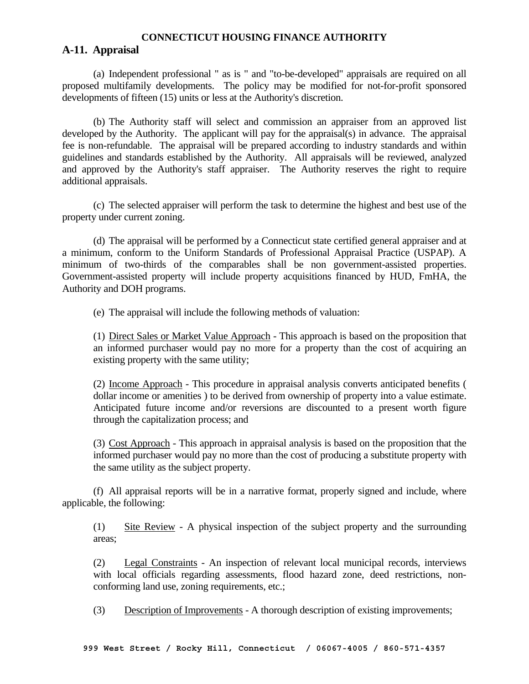#### **A-11. Appraisal**

 (a) Independent professional " as is " and "to-be-developed" appraisals are required on all proposed multifamily developments. The policy may be modified for not-for-profit sponsored developments of fifteen (15) units or less at the Authority's discretion.

 (b) The Authority staff will select and commission an appraiser from an approved list developed by the Authority. The applicant will pay for the appraisal(s) in advance. The appraisal fee is non-refundable. The appraisal will be prepared according to industry standards and within guidelines and standards established by the Authority. All appraisals will be reviewed, analyzed and approved by the Authority's staff appraiser. The Authority reserves the right to require additional appraisals.

 (c) The selected appraiser will perform the task to determine the highest and best use of the property under current zoning.

 (d) The appraisal will be performed by a Connecticut state certified general appraiser and at a minimum, conform to the Uniform Standards of Professional Appraisal Practice (USPAP). A minimum of two-thirds of the comparables shall be non government-assisted properties. Government-assisted property will include property acquisitions financed by HUD, FmHA, the Authority and DOH programs.

(e) The appraisal will include the following methods of valuation:

 (1) Direct Sales or Market Value Approach - This approach is based on the proposition that an informed purchaser would pay no more for a property than the cost of acquiring an existing property with the same utility;

 (2) Income Approach - This procedure in appraisal analysis converts anticipated benefits ( dollar income or amenities ) to be derived from ownership of property into a value estimate. Anticipated future income and/or reversions are discounted to a present worth figure through the capitalization process; and

 (3) Cost Approach - This approach in appraisal analysis is based on the proposition that the informed purchaser would pay no more than the cost of producing a substitute property with the same utility as the subject property.

 (f) All appraisal reports will be in a narrative format, properly signed and include, where applicable, the following:

 (1) Site Review - A physical inspection of the subject property and the surrounding areas;

 (2) Legal Constraints - An inspection of relevant local municipal records, interviews with local officials regarding assessments, flood hazard zone, deed restrictions, nonconforming land use, zoning requirements, etc.;

(3) Description of Improvements - A thorough description of existing improvements;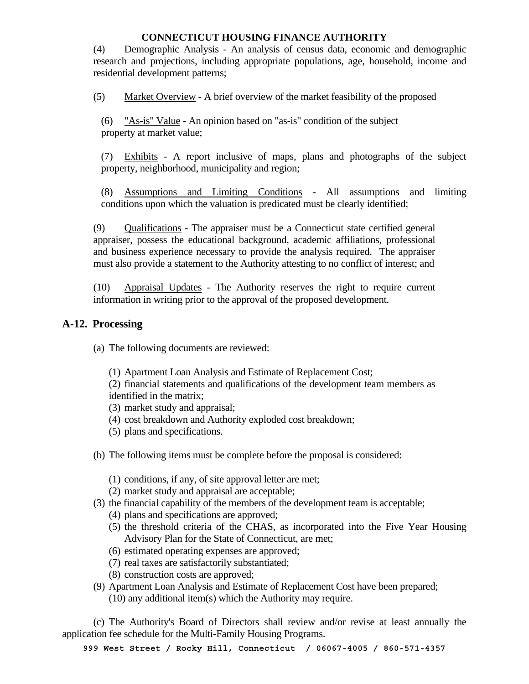(4) Demographic Analysis - An analysis of census data, economic and demographic research and projections, including appropriate populations, age, household, income and residential development patterns;

(5) Market Overview - A brief overview of the market feasibility of the proposed

 (6) "As-is" Value - An opinion based on "as-is" condition of the subject property at market value;

 (7) Exhibits - A report inclusive of maps, plans and photographs of the subject property, neighborhood, municipality and region;

 (8) Assumptions and Limiting Conditions - All assumptions and limiting conditions upon which the valuation is predicated must be clearly identified;

 (9) Qualifications - The appraiser must be a Connecticut state certified general appraiser, possess the educational background, academic affiliations, professional and business experience necessary to provide the analysis required. The appraiser must also provide a statement to the Authority attesting to no conflict of interest; and

 (10) Appraisal Updates - The Authority reserves the right to require current information in writing prior to the approval of the proposed development.

# **A-12. Processing**

(a) The following documents are reviewed:

(1) Apartment Loan Analysis and Estimate of Replacement Cost;

 (2) financial statements and qualifications of the development team members as identified in the matrix;

- (3) market study and appraisal;
- (4) cost breakdown and Authority exploded cost breakdown;
- (5) plans and specifications.
- (b) The following items must be complete before the proposal is considered:
	- (1) conditions, if any, of site approval letter are met;
	- (2) market study and appraisal are acceptable;
- (3) the financial capability of the members of the development team is acceptable;
	- (4) plans and specifications are approved;
	- (5) the threshold criteria of the CHAS, as incorporated into the Five Year Housing Advisory Plan for the State of Connecticut, are met;
	- (6) estimated operating expenses are approved;
	- (7) real taxes are satisfactorily substantiated;
	- (8) construction costs are approved;
- (9) Apartment Loan Analysis and Estimate of Replacement Cost have been prepared; (10) any additional item(s) which the Authority may require.

 (c) The Authority's Board of Directors shall review and/or revise at least annually the application fee schedule for the Multi-Family Housing Programs.

**999 West Street / Rocky Hill, Connecticut / 06067-4005 / 860-571-4357**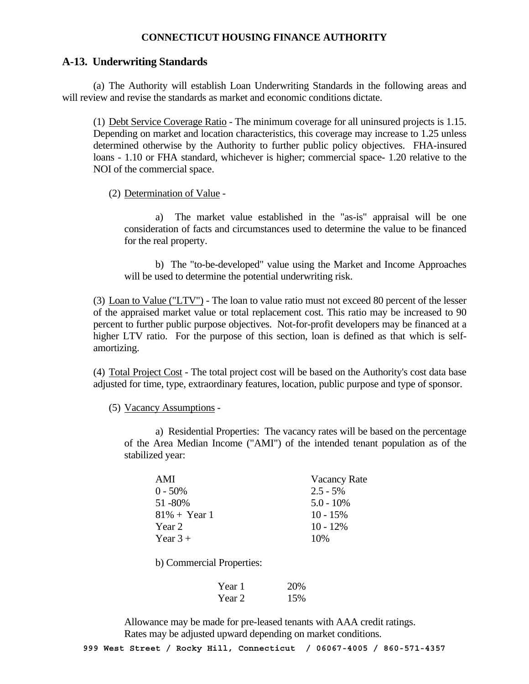#### **A-13. Underwriting Standards**

 (a) The Authority will establish Loan Underwriting Standards in the following areas and will review and revise the standards as market and economic conditions dictate.

 (1) Debt Service Coverage Ratio - The minimum coverage for all uninsured projects is 1.15. Depending on market and location characteristics, this coverage may increase to 1.25 unless determined otherwise by the Authority to further public policy objectives. FHA-insured loans - 1.10 or FHA standard, whichever is higher; commercial space- 1.20 relative to the NOI of the commercial space.

(2) Determination of Value -

 a) The market value established in the "as-is" appraisal will be one consideration of facts and circumstances used to determine the value to be financed for the real property.

 b) The "to-be-developed" value using the Market and Income Approaches will be used to determine the potential underwriting risk.

 (3) Loan to Value ("LTV") - The loan to value ratio must not exceed 80 percent of the lesser of the appraised market value or total replacement cost. This ratio may be increased to 90 percent to further public purpose objectives. Not-for-profit developers may be financed at a higher LTV ratio. For the purpose of this section, loan is defined as that which is selfamortizing.

 (4) Total Project Cost - The total project cost will be based on the Authority's cost data base adjusted for time, type, extraordinary features, location, public purpose and type of sponsor.

(5) Vacancy Assumptions -

 a) Residential Properties: The vacancy rates will be based on the percentage of the Area Median Income ("AMI") of the intended tenant population as of the stabilized year:

| AMI                    | <b>Vacancy Rate</b> |
|------------------------|---------------------|
| $0 - 50\%$             | $2.5 - 5\%$         |
| 51 - 80%               | $5.0 - 10\%$        |
| $81\% + \text{Year} 1$ | $10 - 15\%$         |
| Year 2                 | $10 - 12\%$         |
| Year $3+$              | 10%                 |

b) Commercial Properties:

| Year 1 | 20% |
|--------|-----|
| Year 2 | 15% |

 Allowance may be made for pre-leased tenants with AAA credit ratings. Rates may be adjusted upward depending on market conditions.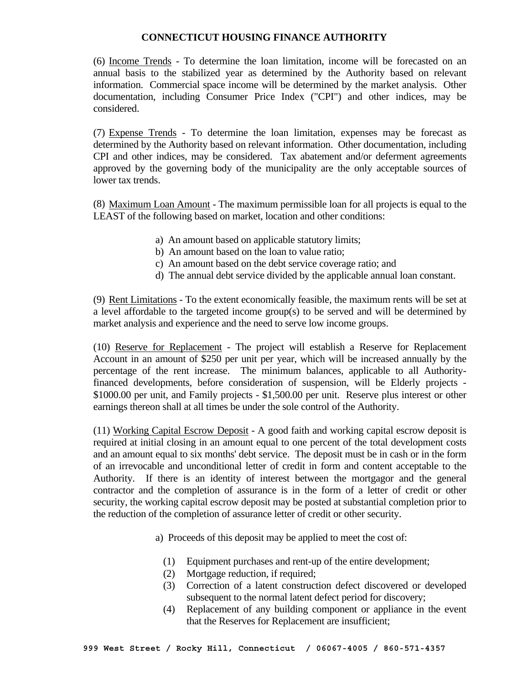(6) Income Trends - To determine the loan limitation, income will be forecasted on an annual basis to the stabilized year as determined by the Authority based on relevant information. Commercial space income will be determined by the market analysis. Other documentation, including Consumer Price Index ("CPI") and other indices, may be considered.

 (7) Expense Trends - To determine the loan limitation, expenses may be forecast as determined by the Authority based on relevant information. Other documentation, including CPI and other indices, may be considered. Tax abatement and/or deferment agreements approved by the governing body of the municipality are the only acceptable sources of lower tax trends.

 (8) Maximum Loan Amount - The maximum permissible loan for all projects is equal to the LEAST of the following based on market, location and other conditions:

- a) An amount based on applicable statutory limits;
- b) An amount based on the loan to value ratio;
- c) An amount based on the debt service coverage ratio; and
- d) The annual debt service divided by the applicable annual loan constant.

 (9) Rent Limitations - To the extent economically feasible, the maximum rents will be set at a level affordable to the targeted income group(s) to be served and will be determined by market analysis and experience and the need to serve low income groups.

 (10) Reserve for Replacement - The project will establish a Reserve for Replacement Account in an amount of \$250 per unit per year, which will be increased annually by the percentage of the rent increase. The minimum balances, applicable to all Authorityfinanced developments, before consideration of suspension, will be Elderly projects - \$1000.00 per unit, and Family projects - \$1,500.00 per unit. Reserve plus interest or other earnings thereon shall at all times be under the sole control of the Authority.

 (11) Working Capital Escrow Deposit - A good faith and working capital escrow deposit is required at initial closing in an amount equal to one percent of the total development costs and an amount equal to six months' debt service. The deposit must be in cash or in the form of an irrevocable and unconditional letter of credit in form and content acceptable to the Authority. If there is an identity of interest between the mortgagor and the general contractor and the completion of assurance is in the form of a letter of credit or other security, the working capital escrow deposit may be posted at substantial completion prior to the reduction of the completion of assurance letter of credit or other security.

a) Proceeds of this deposit may be applied to meet the cost of:

- (1) Equipment purchases and rent-up of the entire development;
- (2) Mortgage reduction, if required;
- (3) Correction of a latent construction defect discovered or developed subsequent to the normal latent defect period for discovery;
- (4) Replacement of any building component or appliance in the event that the Reserves for Replacement are insufficient;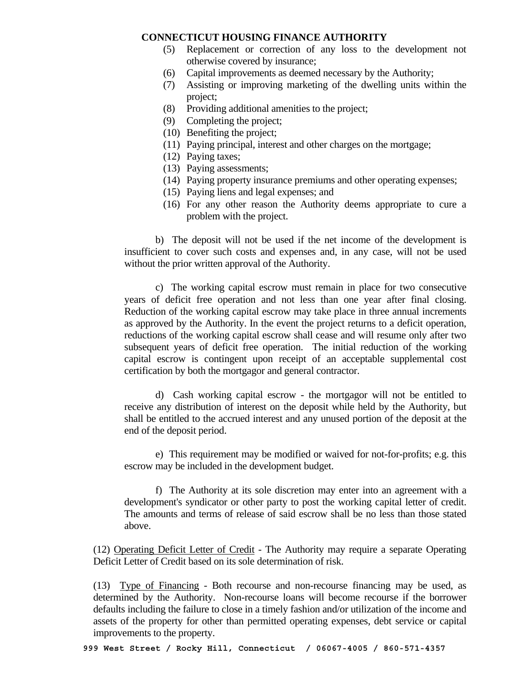- (5) Replacement or correction of any loss to the development not otherwise covered by insurance;
- (6) Capital improvements as deemed necessary by the Authority;
- (7) Assisting or improving marketing of the dwelling units within the project;
- (8) Providing additional amenities to the project;
- (9) Completing the project;
- (10) Benefiting the project;
- (11) Paying principal, interest and other charges on the mortgage;
- (12) Paying taxes;
- (13) Paying assessments;
- (14) Paying property insurance premiums and other operating expenses;
- (15) Paying liens and legal expenses; and
- (16) For any other reason the Authority deems appropriate to cure a problem with the project.

 b) The deposit will not be used if the net income of the development is insufficient to cover such costs and expenses and, in any case, will not be used without the prior written approval of the Authority.

 c) The working capital escrow must remain in place for two consecutive years of deficit free operation and not less than one year after final closing. Reduction of the working capital escrow may take place in three annual increments as approved by the Authority. In the event the project returns to a deficit operation, reductions of the working capital escrow shall cease and will resume only after two subsequent years of deficit free operation. The initial reduction of the working capital escrow is contingent upon receipt of an acceptable supplemental cost certification by both the mortgagor and general contractor.

 d) Cash working capital escrow - the mortgagor will not be entitled to receive any distribution of interest on the deposit while held by the Authority, but shall be entitled to the accrued interest and any unused portion of the deposit at the end of the deposit period.

 e) This requirement may be modified or waived for not-for-profits; e.g. this escrow may be included in the development budget.

 f) The Authority at its sole discretion may enter into an agreement with a development's syndicator or other party to post the working capital letter of credit. The amounts and terms of release of said escrow shall be no less than those stated above.

 (12) Operating Deficit Letter of Credit - The Authority may require a separate Operating Deficit Letter of Credit based on its sole determination of risk.

 (13) Type of Financing - Both recourse and non-recourse financing may be used, as determined by the Authority. Non-recourse loans will become recourse if the borrower defaults including the failure to close in a timely fashion and/or utilization of the income and assets of the property for other than permitted operating expenses, debt service or capital improvements to the property.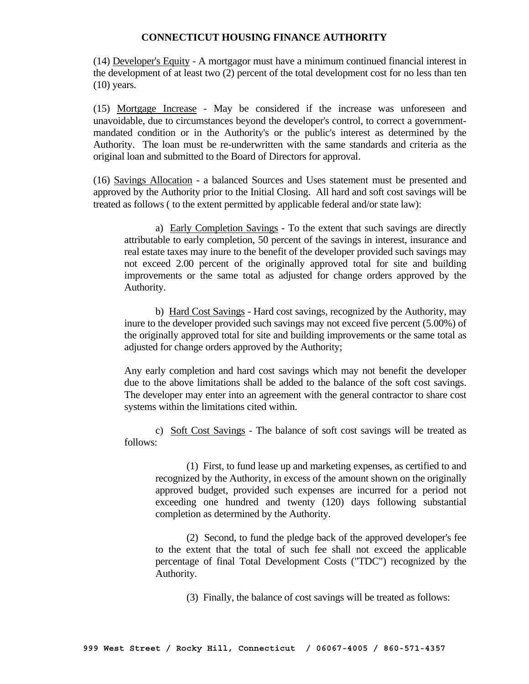(14) Developer's Equity - A mortgagor must have a minimum continued financial interest in the development of at least two (2) percent of the total development cost for no less than ten  $(10)$  years.

 (15) Mortgage Increase - May be considered if the increase was unforeseen and unavoidable, due to circumstances beyond the developer's control, to correct a governmentmandated condition or in the Authority's or the public's interest as determined by the Authority. The loan must be re-underwritten with the same standards and criteria as the original loan and submitted to the Board of Directors for approval.

 (16) Savings Allocation - a balanced Sources and Uses statement must be presented and approved by the Authority prior to the Initial Closing. All hard and soft cost savings will be treated as follows ( to the extent permitted by applicable federal and/or state law):

 a) Early Completion Savings - To the extent that such savings are directly attributable to early completion, 50 percent of the savings in interest, insurance and real estate taxes may inure to the benefit of the developer provided such savings may not exceed 2.00 percent of the originally approved total for site and building improvements or the same total as adjusted for change orders approved by the Authority.

 b) Hard Cost Savings - Hard cost savings, recognized by the Authority, may inure to the developer provided such savings may not exceed five percent (5.00%) of the originally approved total for site and building improvements or the same total as adjusted for change orders approved by the Authority;

 Any early completion and hard cost savings which may not benefit the developer due to the above limitations shall be added to the balance of the soft cost savings. The developer may enter into an agreement with the general contractor to share cost systems within the limitations cited within.

 c) Soft Cost Savings - The balance of soft cost savings will be treated as follows:

 (1) First, to fund lease up and marketing expenses, as certified to and recognized by the Authority, in excess of the amount shown on the originally approved budget, provided such expenses are incurred for a period not exceeding one hundred and twenty (120) days following substantial completion as determined by the Authority.

 (2) Second, to fund the pledge back of the approved developer's fee to the extent that the total of such fee shall not exceed the applicable percentage of final Total Development Costs ("TDC") recognized by the Authority.

(3) Finally, the balance of cost savings will be treated as follows: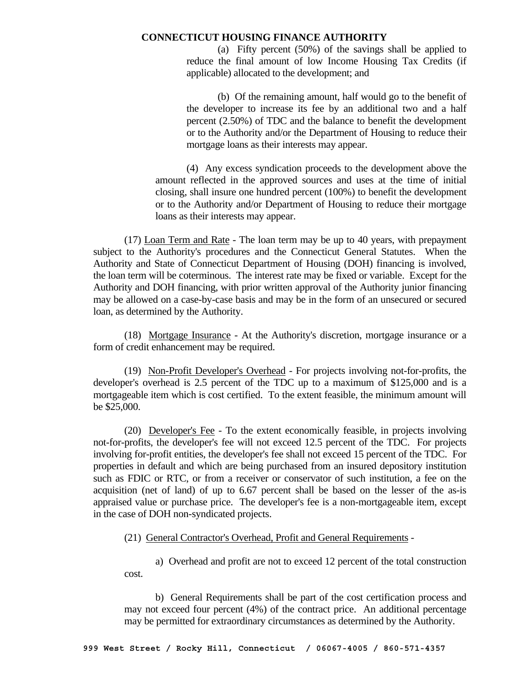(a) Fifty percent (50%) of the savings shall be applied to reduce the final amount of low Income Housing Tax Credits (if applicable) allocated to the development; and

 (b) Of the remaining amount, half would go to the benefit of the developer to increase its fee by an additional two and a half percent (2.50%) of TDC and the balance to benefit the development or to the Authority and/or the Department of Housing to reduce their mortgage loans as their interests may appear.

 (4) Any excess syndication proceeds to the development above the amount reflected in the approved sources and uses at the time of initial closing, shall insure one hundred percent (100%) to benefit the development or to the Authority and/or Department of Housing to reduce their mortgage loans as their interests may appear.

 (17) Loan Term and Rate - The loan term may be up to 40 years, with prepayment subject to the Authority's procedures and the Connecticut General Statutes. When the Authority and State of Connecticut Department of Housing (DOH) financing is involved, the loan term will be coterminous. The interest rate may be fixed or variable. Except for the Authority and DOH financing, with prior written approval of the Authority junior financing may be allowed on a case-by-case basis and may be in the form of an unsecured or secured loan, as determined by the Authority.

 (18) Mortgage Insurance - At the Authority's discretion, mortgage insurance or a form of credit enhancement may be required.

 (19) Non-Profit Developer's Overhead - For projects involving not-for-profits, the developer's overhead is 2.5 percent of the TDC up to a maximum of \$125,000 and is a mortgageable item which is cost certified. To the extent feasible, the minimum amount will be \$25,000.

 (20) Developer's Fee - To the extent economically feasible, in projects involving not-for-profits, the developer's fee will not exceed 12.5 percent of the TDC. For projects involving for-profit entities, the developer's fee shall not exceed 15 percent of the TDC. For properties in default and which are being purchased from an insured depository institution such as FDIC or RTC, or from a receiver or conservator of such institution, a fee on the acquisition (net of land) of up to 6.67 percent shall be based on the lesser of the as-is appraised value or purchase price. The developer's fee is a non-mortgageable item, except in the case of DOH non-syndicated projects.

#### (21) General Contractor's Overhead, Profit and General Requirements -

 a) Overhead and profit are not to exceed 12 percent of the total construction cost.

 b) General Requirements shall be part of the cost certification process and may not exceed four percent (4%) of the contract price. An additional percentage may be permitted for extraordinary circumstances as determined by the Authority.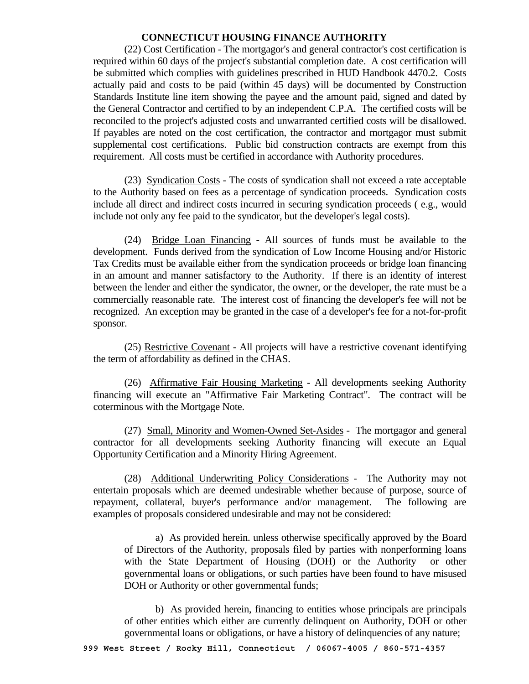(22) Cost Certification - The mortgagor's and general contractor's cost certification is required within 60 days of the project's substantial completion date. A cost certification will be submitted which complies with guidelines prescribed in HUD Handbook 4470.2. Costs actually paid and costs to be paid (within 45 days) will be documented by Construction Standards Institute line item showing the payee and the amount paid, signed and dated by the General Contractor and certified to by an independent C.P.A. The certified costs will be reconciled to the project's adjusted costs and unwarranted certified costs will be disallowed. If payables are noted on the cost certification, the contractor and mortgagor must submit supplemental cost certifications. Public bid construction contracts are exempt from this requirement. All costs must be certified in accordance with Authority procedures.

 (23) Syndication Costs - The costs of syndication shall not exceed a rate acceptable to the Authority based on fees as a percentage of syndication proceeds. Syndication costs include all direct and indirect costs incurred in securing syndication proceeds ( e.g., would include not only any fee paid to the syndicator, but the developer's legal costs).

 (24) Bridge Loan Financing - All sources of funds must be available to the development. Funds derived from the syndication of Low Income Housing and/or Historic Tax Credits must be available either from the syndication proceeds or bridge loan financing in an amount and manner satisfactory to the Authority. If there is an identity of interest between the lender and either the syndicator, the owner, or the developer, the rate must be a commercially reasonable rate. The interest cost of financing the developer's fee will not be recognized. An exception may be granted in the case of a developer's fee for a not-for-profit sponsor.

 (25) Restrictive Covenant - All projects will have a restrictive covenant identifying the term of affordability as defined in the CHAS.

 (26) Affirmative Fair Housing Marketing - All developments seeking Authority financing will execute an "Affirmative Fair Marketing Contract". The contract will be coterminous with the Mortgage Note.

 (27) Small, Minority and Women-Owned Set-Asides - The mortgagor and general contractor for all developments seeking Authority financing will execute an Equal Opportunity Certification and a Minority Hiring Agreement.

 (28) Additional Underwriting Policy Considerations - The Authority may not entertain proposals which are deemed undesirable whether because of purpose, source of repayment, collateral, buyer's performance and/or management. The following are examples of proposals considered undesirable and may not be considered:

 a) As provided herein. unless otherwise specifically approved by the Board of Directors of the Authority, proposals filed by parties with nonperforming loans with the State Department of Housing (DOH) or the Authority or other governmental loans or obligations, or such parties have been found to have misused DOH or Authority or other governmental funds;

 b) As provided herein, financing to entities whose principals are principals of other entities which either are currently delinquent on Authority, DOH or other governmental loans or obligations, or have a history of delinquencies of any nature;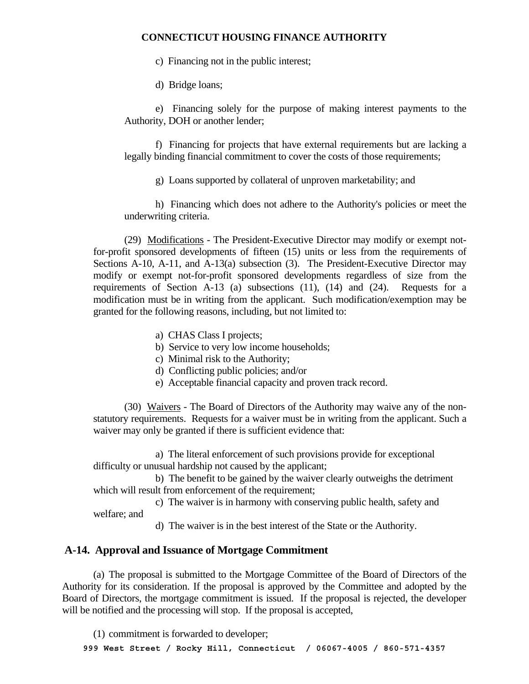c) Financing not in the public interest;

d) Bridge loans;

 e) Financing solely for the purpose of making interest payments to the Authority, DOH or another lender;

 f) Financing for projects that have external requirements but are lacking a legally binding financial commitment to cover the costs of those requirements;

g) Loans supported by collateral of unproven marketability; and

 h) Financing which does not adhere to the Authority's policies or meet the underwriting criteria.

 (29) Modifications - The President-Executive Director may modify or exempt notfor-profit sponsored developments of fifteen (15) units or less from the requirements of Sections A-10, A-11, and A-13(a) subsection (3). The President-Executive Director may modify or exempt not-for-profit sponsored developments regardless of size from the requirements of Section A-13 (a) subsections (11), (14) and (24). Requests for a modification must be in writing from the applicant. Such modification/exemption may be granted for the following reasons, including, but not limited to:

- a) CHAS Class I projects;
- b) Service to very low income households;
- c) Minimal risk to the Authority;
- d) Conflicting public policies; and/or
- e) Acceptable financial capacity and proven track record.

 (30) Waivers - The Board of Directors of the Authority may waive any of the nonstatutory requirements. Requests for a waiver must be in writing from the applicant. Such a waiver may only be granted if there is sufficient evidence that:

 a) The literal enforcement of such provisions provide for exceptional difficulty or unusual hardship not caused by the applicant;

 b) The benefit to be gained by the waiver clearly outweighs the detriment which will result from enforcement of the requirement:

 c) The waiver is in harmony with conserving public health, safety and welfare; and

d) The waiver is in the best interest of the State or the Authority.

# **A-14. Approval and Issuance of Mortgage Commitment**

 (a) The proposal is submitted to the Mortgage Committee of the Board of Directors of the Authority for its consideration. If the proposal is approved by the Committee and adopted by the Board of Directors, the mortgage commitment is issued. If the proposal is rejected, the developer will be notified and the processing will stop. If the proposal is accepted,

**999 West Street / Rocky Hill, Connecticut / 06067-4005 / 860-571-4357**  (1) commitment is forwarded to developer;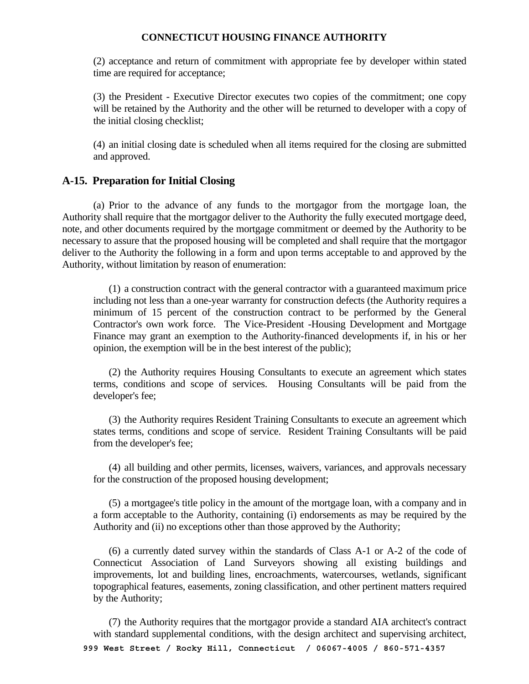(2) acceptance and return of commitment with appropriate fee by developer within stated time are required for acceptance;

 (3) the President - Executive Director executes two copies of the commitment; one copy will be retained by the Authority and the other will be returned to developer with a copy of the initial closing checklist;

 (4) an initial closing date is scheduled when all items required for the closing are submitted and approved.

#### **A-15. Preparation for Initial Closing**

 (a) Prior to the advance of any funds to the mortgagor from the mortgage loan, the Authority shall require that the mortgagor deliver to the Authority the fully executed mortgage deed, note, and other documents required by the mortgage commitment or deemed by the Authority to be necessary to assure that the proposed housing will be completed and shall require that the mortgagor deliver to the Authority the following in a form and upon terms acceptable to and approved by the Authority, without limitation by reason of enumeration:

 (1) a construction contract with the general contractor with a guaranteed maximum price including not less than a one-year warranty for construction defects (the Authority requires a minimum of 15 percent of the construction contract to be performed by the General Contractor's own work force. The Vice-President -Housing Development and Mortgage Finance may grant an exemption to the Authority-financed developments if, in his or her opinion, the exemption will be in the best interest of the public);

 (2) the Authority requires Housing Consultants to execute an agreement which states terms, conditions and scope of services. Housing Consultants will be paid from the developer's fee;

 (3) the Authority requires Resident Training Consultants to execute an agreement which states terms, conditions and scope of service. Resident Training Consultants will be paid from the developer's fee;

 (4) all building and other permits, licenses, waivers, variances, and approvals necessary for the construction of the proposed housing development;

 (5) a mortgagee's title policy in the amount of the mortgage loan, with a company and in a form acceptable to the Authority, containing (i) endorsements as may be required by the Authority and (ii) no exceptions other than those approved by the Authority;

 (6) a currently dated survey within the standards of Class A-1 or A-2 of the code of Connecticut Association of Land Surveyors showing all existing buildings and improvements, lot and building lines, encroachments, watercourses, wetlands, significant topographical features, easements, zoning classification, and other pertinent matters required by the Authority;

 (7) the Authority requires that the mortgagor provide a standard AIA architect's contract with standard supplemental conditions, with the design architect and supervising architect,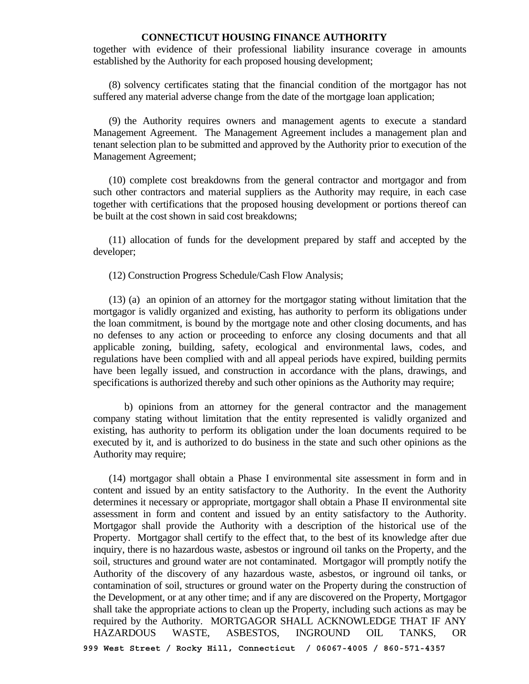together with evidence of their professional liability insurance coverage in amounts established by the Authority for each proposed housing development;

 (8) solvency certificates stating that the financial condition of the mortgagor has not suffered any material adverse change from the date of the mortgage loan application;

 (9) the Authority requires owners and management agents to execute a standard Management Agreement. The Management Agreement includes a management plan and tenant selection plan to be submitted and approved by the Authority prior to execution of the Management Agreement;

 (10) complete cost breakdowns from the general contractor and mortgagor and from such other contractors and material suppliers as the Authority may require, in each case together with certifications that the proposed housing development or portions thereof can be built at the cost shown in said cost breakdowns;

 (11) allocation of funds for the development prepared by staff and accepted by the developer;

(12) Construction Progress Schedule/Cash Flow Analysis;

 (13) (a) an opinion of an attorney for the mortgagor stating without limitation that the mortgagor is validly organized and existing, has authority to perform its obligations under the loan commitment, is bound by the mortgage note and other closing documents, and has no defenses to any action or proceeding to enforce any closing documents and that all applicable zoning, building, safety, ecological and environmental laws, codes, and regulations have been complied with and all appeal periods have expired, building permits have been legally issued, and construction in accordance with the plans, drawings, and specifications is authorized thereby and such other opinions as the Authority may require;

 b) opinions from an attorney for the general contractor and the management company stating without limitation that the entity represented is validly organized and existing, has authority to perform its obligation under the loan documents required to be executed by it, and is authorized to do business in the state and such other opinions as the Authority may require;

**999 West Street / Rocky Hill, Connecticut / 06067-4005 / 860-571-4357**  (14) mortgagor shall obtain a Phase I environmental site assessment in form and in content and issued by an entity satisfactory to the Authority. In the event the Authority determines it necessary or appropriate, mortgagor shall obtain a Phase II environmental site assessment in form and content and issued by an entity satisfactory to the Authority. Mortgagor shall provide the Authority with a description of the historical use of the Property. Mortgagor shall certify to the effect that, to the best of its knowledge after due inquiry, there is no hazardous waste, asbestos or inground oil tanks on the Property, and the soil, structures and ground water are not contaminated. Mortgagor will promptly notify the Authority of the discovery of any hazardous waste, asbestos, or inground oil tanks, or contamination of soil, structures or ground water on the Property during the construction of the Development, or at any other time; and if any are discovered on the Property, Mortgagor shall take the appropriate actions to clean up the Property, including such actions as may be required by the Authority. MORTGAGOR SHALL ACKNOWLEDGE THAT IF ANY HAZARDOUS WASTE, ASBESTOS, INGROUND OIL TANKS, OR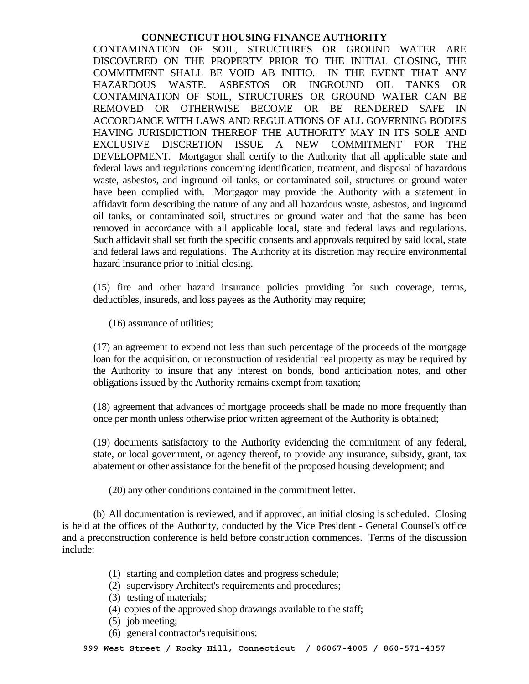CONTAMINATION OF SOIL, STRUCTURES OR GROUND WATER ARE DISCOVERED ON THE PROPERTY PRIOR TO THE INITIAL CLOSING, THE COMMITMENT SHALL BE VOID AB INITIO. IN THE EVENT THAT ANY HAZARDOUS WASTE. ASBESTOS OR INGROUND OIL TANKS OR CONTAMINATION OF SOIL, STRUCTURES OR GROUND WATER CAN BE REMOVED OR OTHERWISE BECOME OR BE RENDERED SAFE IN ACCORDANCE WITH LAWS AND REGULATIONS OF ALL GOVERNING BODIES HAVING JURISDICTION THEREOF THE AUTHORITY MAY IN ITS SOLE AND EXCLUSIVE DISCRETION ISSUE A NEW COMMITMENT FOR THE DEVELOPMENT. Mortgagor shall certify to the Authority that all applicable state and federal laws and regulations concerning identification, treatment, and disposal of hazardous waste, asbestos, and inground oil tanks, or contaminated soil, structures or ground water have been complied with. Mortgagor may provide the Authority with a statement in affidavit form describing the nature of any and all hazardous waste, asbestos, and inground oil tanks, or contaminated soil, structures or ground water and that the same has been removed in accordance with all applicable local, state and federal laws and regulations. Such affidavit shall set forth the specific consents and approvals required by said local, state and federal laws and regulations. The Authority at its discretion may require environmental hazard insurance prior to initial closing.

 (15) fire and other hazard insurance policies providing for such coverage, terms, deductibles, insureds, and loss payees as the Authority may require;

(16) assurance of utilities;

 (17) an agreement to expend not less than such percentage of the proceeds of the mortgage loan for the acquisition, or reconstruction of residential real property as may be required by the Authority to insure that any interest on bonds, bond anticipation notes, and other obligations issued by the Authority remains exempt from taxation;

 (18) agreement that advances of mortgage proceeds shall be made no more frequently than once per month unless otherwise prior written agreement of the Authority is obtained;

 (19) documents satisfactory to the Authority evidencing the commitment of any federal, state, or local government, or agency thereof, to provide any insurance, subsidy, grant, tax abatement or other assistance for the benefit of the proposed housing development; and

(20) any other conditions contained in the commitment letter.

 (b) All documentation is reviewed, and if approved, an initial closing is scheduled. Closing is held at the offices of the Authority, conducted by the Vice President - General Counsel's office and a preconstruction conference is held before construction commences. Terms of the discussion include:

- (1) starting and completion dates and progress schedule;
- (2) supervisory Architect's requirements and procedures;
- (3) testing of materials;
- (4) copies of the approved shop drawings available to the staff;
- (5) job meeting;
- (6) general contractor's requisitions;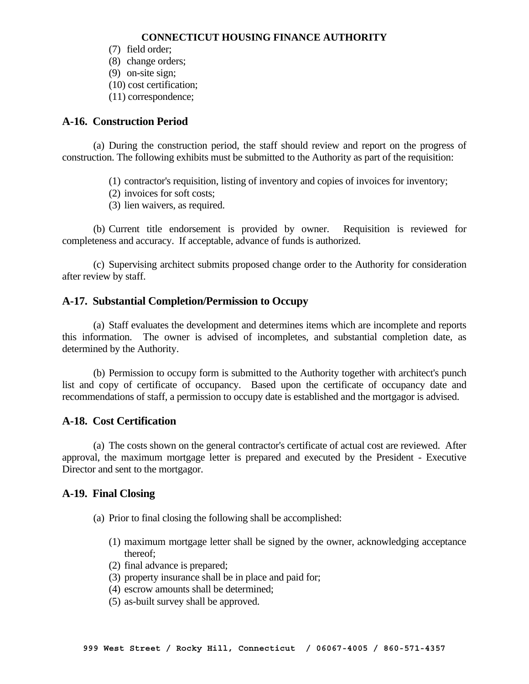- (7) field order;
- (8) change orders;
- (9) on-site sign;
- (10) cost certification;
- (11) correspondence;

# **A-16. Construction Period**

 (a) During the construction period, the staff should review and report on the progress of construction. The following exhibits must be submitted to the Authority as part of the requisition:

- (1) contractor's requisition, listing of inventory and copies of invoices for inventory;
- (2) invoices for soft costs;
- (3) lien waivers, as required.

 (b) Current title endorsement is provided by owner. Requisition is reviewed for completeness and accuracy. If acceptable, advance of funds is authorized.

 (c) Supervising architect submits proposed change order to the Authority for consideration after review by staff.

#### **A-17. Substantial Completion/Permission to Occupy**

 (a) Staff evaluates the development and determines items which are incomplete and reports this information. The owner is advised of incompletes, and substantial completion date, as determined by the Authority.

 (b) Permission to occupy form is submitted to the Authority together with architect's punch list and copy of certificate of occupancy. Based upon the certificate of occupancy date and recommendations of staff, a permission to occupy date is established and the mortgagor is advised.

# **A-18. Cost Certification**

 (a) The costs shown on the general contractor's certificate of actual cost are reviewed. After approval, the maximum mortgage letter is prepared and executed by the President - Executive Director and sent to the mortgagor.

#### **A-19. Final Closing**

- (a) Prior to final closing the following shall be accomplished:
	- (1) maximum mortgage letter shall be signed by the owner, acknowledging acceptance thereof;
	- (2) final advance is prepared;
	- (3) property insurance shall be in place and paid for;
	- (4) escrow amounts shall be determined;
	- (5) as-built survey shall be approved.